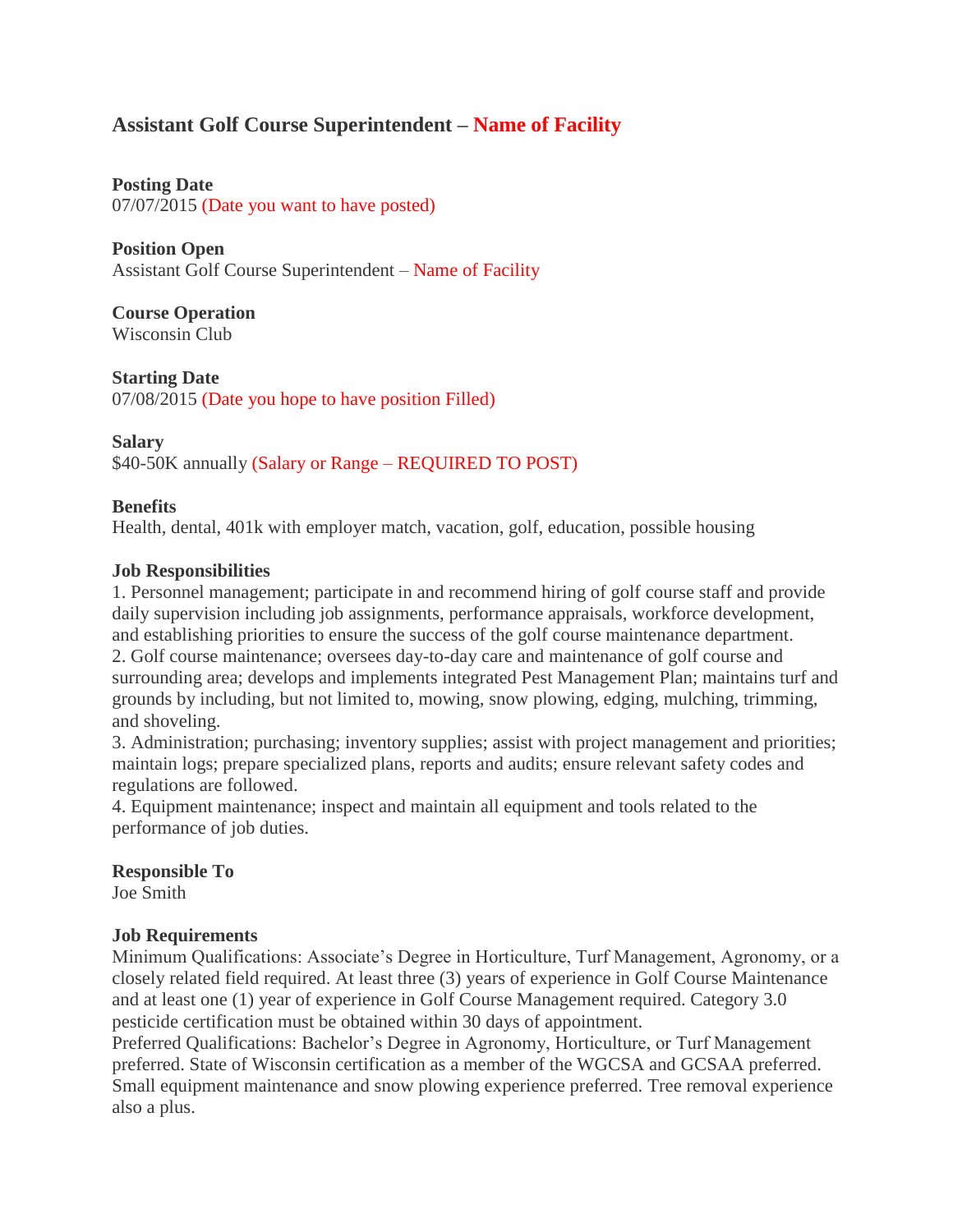# **Assistant Golf Course Superintendent – Name of Facility**

**Posting Date** 07/07/2015 (Date you want to have posted)

**Position Open** Assistant Golf Course Superintendent – Name of Facility

**Course Operation** Wisconsin Club

**Starting Date** 07/08/2015 (Date you hope to have position Filled)

# **Salary**

\$40-50K annually (Salary or Range – REQUIRED TO POST)

# **Benefits**

Health, dental, 401k with employer match, vacation, golf, education, possible housing

# **Job Responsibilities**

1. Personnel management; participate in and recommend hiring of golf course staff and provide daily supervision including job assignments, performance appraisals, workforce development, and establishing priorities to ensure the success of the golf course maintenance department. 2. Golf course maintenance; oversees day-to-day care and maintenance of golf course and surrounding area; develops and implements integrated Pest Management Plan; maintains turf and grounds by including, but not limited to, mowing, snow plowing, edging, mulching, trimming, and shoveling.

3. Administration; purchasing; inventory supplies; assist with project management and priorities; maintain logs; prepare specialized plans, reports and audits; ensure relevant safety codes and regulations are followed.

4. Equipment maintenance; inspect and maintain all equipment and tools related to the performance of job duties.

#### **Responsible To** Joe Smith

# **Job Requirements**

Minimum Qualifications: Associate's Degree in Horticulture, Turf Management, Agronomy, or a closely related field required. At least three (3) years of experience in Golf Course Maintenance and at least one (1) year of experience in Golf Course Management required. Category 3.0 pesticide certification must be obtained within 30 days of appointment.

Preferred Qualifications: Bachelor's Degree in Agronomy, Horticulture, or Turf Management preferred. State of Wisconsin certification as a member of the WGCSA and GCSAA preferred. Small equipment maintenance and snow plowing experience preferred. Tree removal experience also a plus.